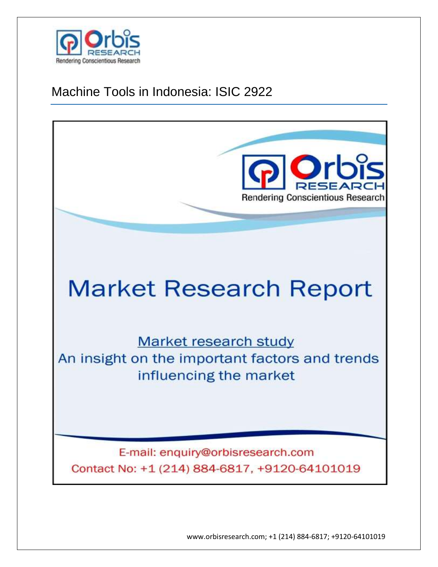

# Machine Tools in Indonesia: ISIC 2922



www.orbisresearch.com; +1 (214) 884-6817; +9120-64101019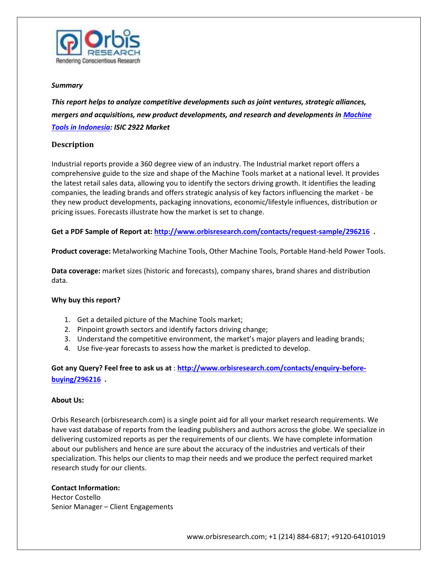

#### *Summary*

*This report helps to analyze competitive developments such as joint ventures, strategic alliances, mergers and acquisitions, new product developments, and research and developments in [Machine](http://www.orbisresearch.com/reports/index/machine-tools-in-indonesia-isic-2922)  [Tools in Indonesia:](http://www.orbisresearch.com/reports/index/machine-tools-in-indonesia-isic-2922) ISIC 2922 Market*

## **Description**

Industrial reports provide a 360 degree view of an industry. The Industrial market report offers a comprehensive guide to the size and shape of the Machine Tools market at a national level. It provides the latest retail sales data, allowing you to identify the sectors driving growth. It identifies the leading companies, the leading brands and offers strategic analysis of key factors influencing the market - be they new product developments, packaging innovations, economic/lifestyle influences, distribution or pricing issues. Forecasts illustrate how the market is set to change.

**Get a PDF Sample of Report at[: http://www.orbisresearch.com/contacts/request-sample/296216](http://www.orbisresearch.com/contacts/request-sample/296216) .**

**Product coverage:** Metalworking Machine Tools, Other Machine Tools, Portable Hand-held Power Tools.

**Data coverage:** market sizes (historic and forecasts), company shares, brand shares and distribution data.

### **Why buy this report?**

- 1. Get a detailed picture of the Machine Tools market;
- 2. Pinpoint growth sectors and identify factors driving change;
- 3. Understand the competitive environment, the market's major players and leading brands;
- 4. Use five-year forecasts to assess how the market is predicted to develop.

**Got any Query? Feel free to ask us at** : **[http://www.orbisresearch.com/contacts/enquiry-before](http://www.orbisresearch.com/contacts/enquiry-before-buying/296216)[buying/296216](http://www.orbisresearch.com/contacts/enquiry-before-buying/296216) .**

### **About Us:**

Orbis Research (orbisresearch.com) is a single point aid for all your market research requirements. We have vast database of reports from the leading publishers and authors across the globe. We specialize in delivering customized reports as per the requirements of our clients. We have complete information about our publishers and hence are sure about the accuracy of the industries and verticals of their specialization. This helps our clients to map their needs and we produce the perfect required market research study for our clients.

### **Contact Information:**

Hector Costello Senior Manager – Client Engagements